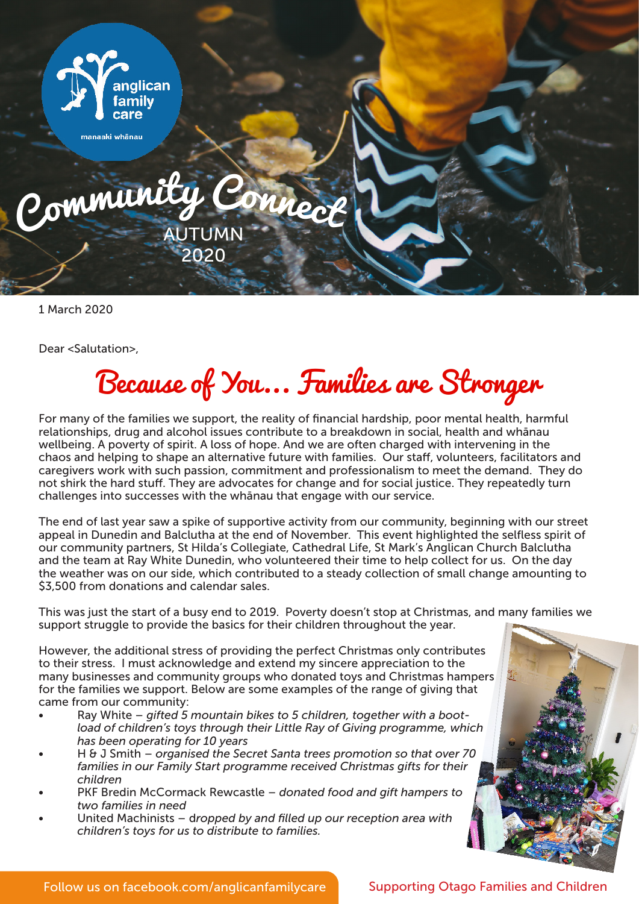

1 March 2020

Dear <Salutation>,

## Because of You... Families are Stronger

For many of the families we support, the reality of financial hardship, poor mental health, harmful relationships, drug and alcohol issues contribute to a breakdown in social, health and whānau wellbeing. A poverty of spirit. A loss of hope. And we are often charged with intervening in the chaos and helping to shape an alternative future with families. Our staff, volunteers, facilitators and caregivers work with such passion, commitment and professionalism to meet the demand. They do not shirk the hard stuff. They are advocates for change and for social justice. They repeatedly turn challenges into successes with the whānau that engage with our service.

The end of last year saw a spike of supportive activity from our community, beginning with our street appeal in Dunedin and Balclutha at the end of November. This event highlighted the selfless spirit of our community partners, St Hilda's Collegiate, Cathedral Life, St Mark's Anglican Church Balclutha and the team at Ray White Dunedin, who volunteered their time to help collect for us. On the day the weather was on our side, which contributed to a steady collection of small change amounting to \$3,500 from donations and calendar sales.

This was just the start of a busy end to 2019. Poverty doesn't stop at Christmas, and many families we support struggle to provide the basics for their children throughout the year.

However, the additional stress of providing the perfect Christmas only contributes to their stress. I must acknowledge and extend my sincere appreciation to the many businesses and community groups who donated toys and Christmas hampers for the families we support. Below are some examples of the range of giving that came from our community:

- Ray White – *gifted 5 mountain bikes to 5 children, together with a bootload of children's toys through their Little Ray of Giving programme, which has been operating for 10 years*
- H & J Smith *organised the Secret Santa trees promotion so that over 70 families in our Family Start programme received Christmas gifts for their children*
- PKF Bredin McCormack Rewcastle *donated food and gift hampers to two families in need*
- United Machinists d*ropped by and filled up our reception area with children's toys for us to distribute to families.*